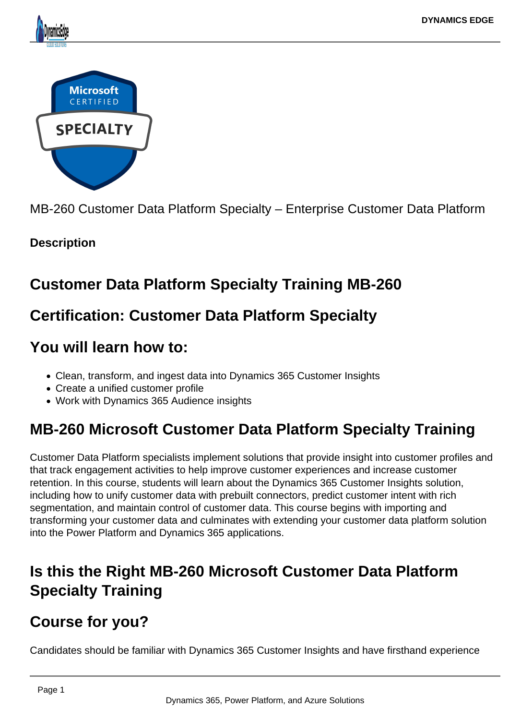

MB-260 Customer Data Platform Specialty – Enterprise Customer Data Platform

## **Description**

## **Customer Data Platform Specialty Training MB-260**

# **Certification: Customer Data Platform Specialty**

## **You will learn how to:**

- Clean, transform, and ingest data into Dynamics 365 Customer Insights
- Create a unified customer profile
- Work with Dynamics 365 Audience insights

# **MB-260 Microsoft Customer Data Platform Specialty Training**

Customer Data Platform specialists implement solutions that provide insight into customer profiles and that track engagement activities to help improve customer experiences and increase customer retention. In this course, students will learn about the Dynamics 365 Customer Insights solution, including how to unify customer data with prebuilt connectors, predict customer intent with rich segmentation, and maintain control of customer data. This course begins with importing and transforming your customer data and culminates with extending your customer data platform solution into the Power Platform and Dynamics 365 applications.

# **Is this the Right MB-260 Microsoft Customer Data Platform Specialty Training**

# **Course for you?**

Candidates should be familiar with Dynamics 365 Customer Insights and have firsthand experience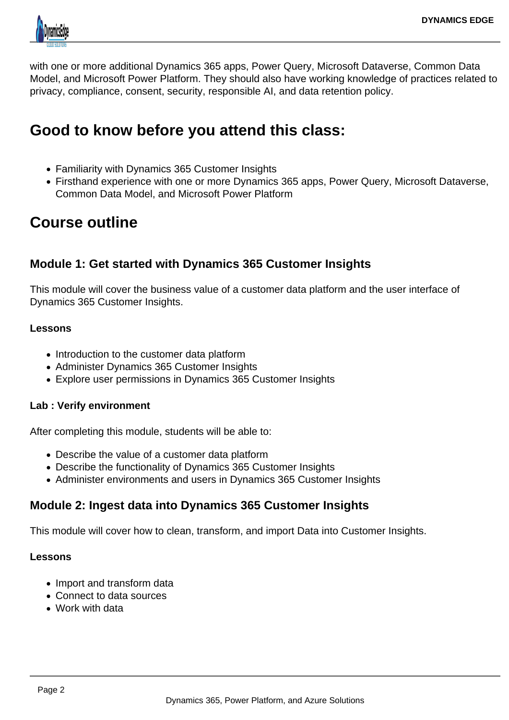

with one or more additional Dynamics 365 apps, Power Query, Microsoft Dataverse, Common Data Model, and Microsoft Power Platform. They should also have working knowledge of practices related to privacy, compliance, consent, security, responsible AI, and data retention policy.

## **Good to know before you attend this class:**

- Familiarity with Dynamics 365 Customer Insights
- Firsthand experience with one or more Dynamics 365 apps, Power Query, Microsoft Dataverse, Common Data Model, and Microsoft Power Platform

# **Course outline**

## **Module 1: Get started with Dynamics 365 Customer Insights**

This module will cover the business value of a customer data platform and the user interface of Dynamics 365 Customer Insights.

#### **Lessons**

- Introduction to the customer data platform
- Administer Dynamics 365 Customer Insights
- Explore user permissions in Dynamics 365 Customer Insights

#### **Lab : Verify environment**

After completing this module, students will be able to:

- Describe the value of a customer data platform
- Describe the functionality of Dynamics 365 Customer Insights
- Administer environments and users in Dynamics 365 Customer Insights

## **Module 2: Ingest data into Dynamics 365 Customer Insights**

This module will cover how to clean, transform, and import Data into Customer Insights.

#### **Lessons**

- Import and transform data
- Connect to data sources
- Work with data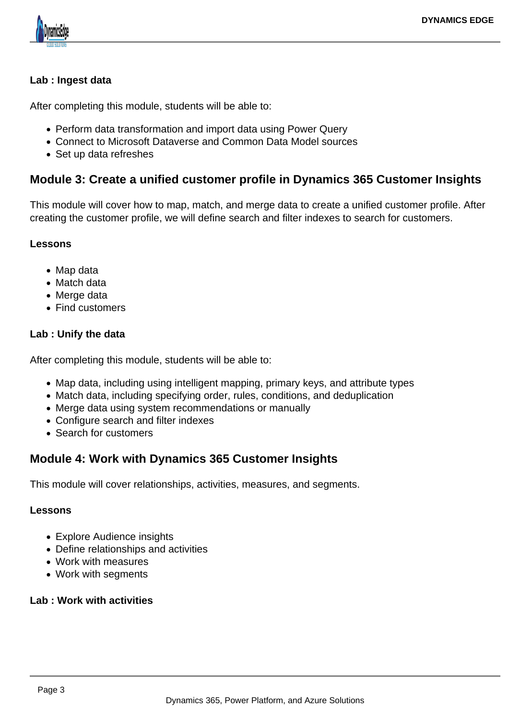

#### **Lab : Ingest data**

After completing this module, students will be able to:

- Perform data transformation and import data using Power Query
- Connect to Microsoft Dataverse and Common Data Model sources
- Set up data refreshes

## **Module 3: Create a unified customer profile in Dynamics 365 Customer Insights**

This module will cover how to map, match, and merge data to create a unified customer profile. After creating the customer profile, we will define search and filter indexes to search for customers.

#### **Lessons**

- Map data
- Match data
- Merge data
- Find customers

#### **Lab : Unify the data**

After completing this module, students will be able to:

- Map data, including using intelligent mapping, primary keys, and attribute types
- Match data, including specifying order, rules, conditions, and deduplication
- Merge data using system recommendations or manually
- Configure search and filter indexes
- Search for customers

## **Module 4: Work with Dynamics 365 Customer Insights**

This module will cover relationships, activities, measures, and segments.

#### **Lessons**

- Explore Audience insights
- Define relationships and activities
- Work with measures
- Work with segments

#### **Lab : Work with activities**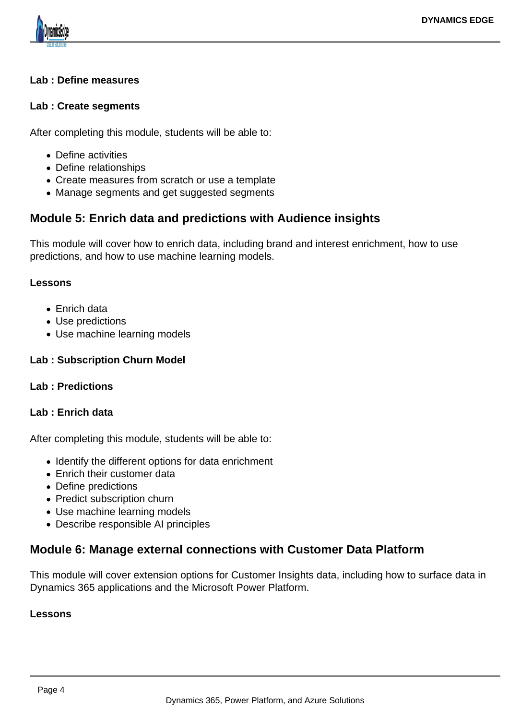

#### **Lab : Define measures**

#### **Lab : Create segments**

After completing this module, students will be able to:

- Define activities
- Define relationships
- Create measures from scratch or use a template
- Manage segments and get suggested segments

### **Module 5: Enrich data and predictions with Audience insights**

This module will cover how to enrich data, including brand and interest enrichment, how to use predictions, and how to use machine learning models.

#### **Lessons**

- Enrich data
- Use predictions
- Use machine learning models

#### **Lab : Subscription Churn Model**

#### **Lab : Predictions**

#### **Lab : Enrich data**

After completing this module, students will be able to:

- Identify the different options for data enrichment
- Enrich their customer data
- Define predictions
- Predict subscription churn
- Use machine learning models
- Describe responsible AI principles

### **Module 6: Manage external connections with Customer Data Platform**

This module will cover extension options for Customer Insights data, including how to surface data in Dynamics 365 applications and the Microsoft Power Platform.

#### **Lessons**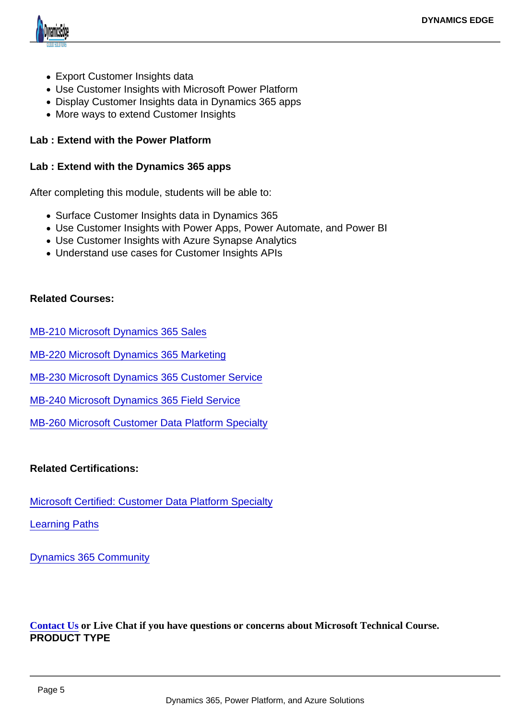- Export Customer Insights data
- Use Customer Insights with Microsoft Power Platform
- Display Customer Insights data in Dynamics 365 apps
- More ways to extend Customer Insights

Lab : Extend with the Power Platform

Lab : Extend with the Dynamics 365 apps

After completing this module, students will be able to:

- Surface Customer Insights data in Dynamics 365
- Use Customer Insights with Power Apps, Power Automate, and Power BI
- Use Customer Insights with Azure Synapse Analytics
- Understand use cases for Customer Insights APIs

Related Courses:

[MB-210 Microsoft Dynamics 365 Sales](https://www.dynamicsedge.com/product/mb-210-dynamics-365-crm-sales-manager-sales-person-business-analyst/)

[MB-220 Microsoft Dynamics 365 Marketing](https://www.dynamicsedge.com/product/mb-220-dynamics-365-crm-marketing-automation-and-campaign-management/)

[MB-230 Microsoft Dynamics 365 Customer Service](https://www.dynamicsedge.com/product/mb-230-dynamics-365-crm-customer-service-support-customers-anytime-anywhere/)

[MB-240 Microsoft Dynamics 365 Field Service](https://www.dynamicsedge.com/product/mb-240-dynamics-365-crm-field-service-proactive-automation/)

[MB-260 Microsoft Customer Data Platform Specialty](https://www.dynamicsedge.com/product/22851/)

Related Certifications:

[Microsoft Certified: Customer Data Platform Specialty](https://docs.microsoft.com/en-us/learn/certifications/customer-data-platform-specialty/)

[Learning Paths](https://docs.microsoft.com/en-us/learn/paths/build-customer-insights/?wt.mc_id=d365_cdp_blog_wwl)

[Dynamics 365 Community](https://community.dynamics.com/365/b/communityteam/posts/announcing-the-new-microsoft-certified-customer-data-platform-specialty-certification)

Contact Usor Live Chat if you have questions or concerns about Microsoft Technical Course. PRODUCT TYPE